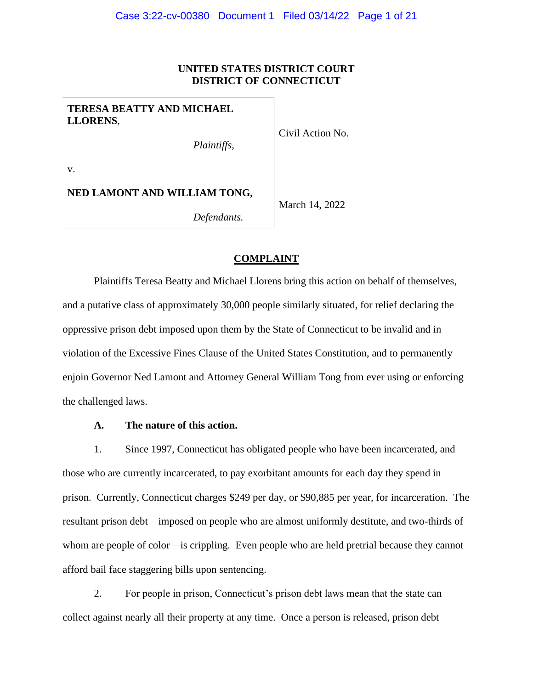# **UNITED STATES DISTRICT COURT DISTRICT OF CONNECTICUT**

**TERESA BEATTY AND MICHAEL LLORENS**,

*Plaintiffs*,

v.

**NED LAMONT AND WILLIAM TONG,**

March 14, 2022

Civil Action No.

*Defendants.*

## **COMPLAINT**

Plaintiffs Teresa Beatty and Michael Llorens bring this action on behalf of themselves, and a putative class of approximately 30,000 people similarly situated, for relief declaring the oppressive prison debt imposed upon them by the State of Connecticut to be invalid and in violation of the Excessive Fines Clause of the United States Constitution, and to permanently enjoin Governor Ned Lamont and Attorney General William Tong from ever using or enforcing the challenged laws.

## **A. The nature of this action.**

1. Since 1997, Connecticut has obligated people who have been incarcerated, and those who are currently incarcerated, to pay exorbitant amounts for each day they spend in prison. Currently, Connecticut charges \$249 per day, or \$90,885 per year, for incarceration. The resultant prison debt—imposed on people who are almost uniformly destitute, and two-thirds of whom are people of color—is crippling. Even people who are held pretrial because they cannot afford bail face staggering bills upon sentencing.

2. For people in prison, Connecticut's prison debt laws mean that the state can collect against nearly all their property at any time. Once a person is released, prison debt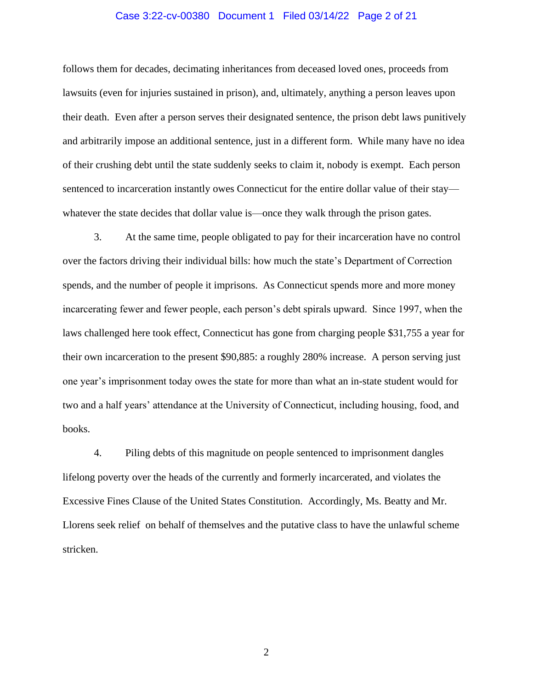#### Case 3:22-cv-00380 Document 1 Filed 03/14/22 Page 2 of 21

follows them for decades, decimating inheritances from deceased loved ones, proceeds from lawsuits (even for injuries sustained in prison), and, ultimately, anything a person leaves upon their death. Even after a person serves their designated sentence, the prison debt laws punitively and arbitrarily impose an additional sentence, just in a different form. While many have no idea of their crushing debt until the state suddenly seeks to claim it, nobody is exempt. Each person sentenced to incarceration instantly owes Connecticut for the entire dollar value of their stay whatever the state decides that dollar value is—once they walk through the prison gates.

3. At the same time, people obligated to pay for their incarceration have no control over the factors driving their individual bills: how much the state's Department of Correction spends, and the number of people it imprisons. As Connecticut spends more and more money incarcerating fewer and fewer people, each person's debt spirals upward. Since 1997, when the laws challenged here took effect, Connecticut has gone from charging people \$31,755 a year for their own incarceration to the present \$90,885: a roughly 280% increase. A person serving just one year's imprisonment today owes the state for more than what an in-state student would for two and a half years' attendance at the University of Connecticut, including housing, food, and books.

4. Piling debts of this magnitude on people sentenced to imprisonment dangles lifelong poverty over the heads of the currently and formerly incarcerated, and violates the Excessive Fines Clause of the United States Constitution. Accordingly, Ms. Beatty and Mr. Llorens seek relief on behalf of themselves and the putative class to have the unlawful scheme stricken.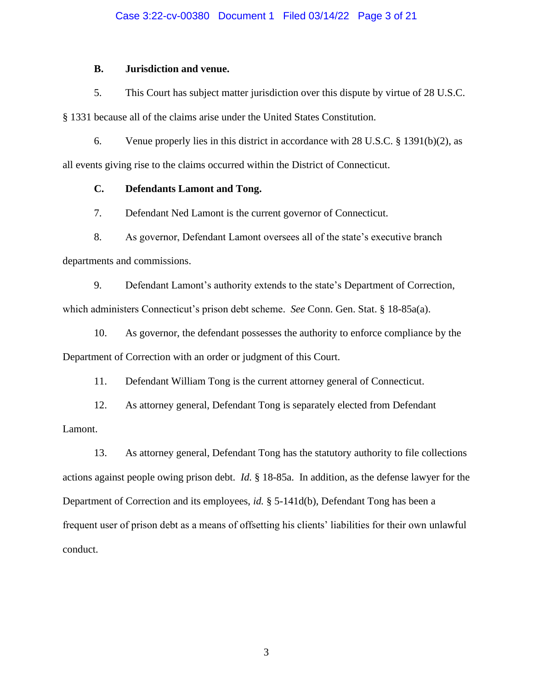## Case 3:22-cv-00380 Document 1 Filed 03/14/22 Page 3 of 21

# **B. Jurisdiction and venue.**

5. This Court has subject matter jurisdiction over this dispute by virtue of 28 U.S.C.

§ 1331 because all of the claims arise under the United States Constitution.

6. Venue properly lies in this district in accordance with 28 U.S.C. § 1391(b)(2), as

all events giving rise to the claims occurred within the District of Connecticut.

# **C. Defendants Lamont and Tong.**

7. Defendant Ned Lamont is the current governor of Connecticut.

8. As governor, Defendant Lamont oversees all of the state's executive branch departments and commissions.

9. Defendant Lamont's authority extends to the state's Department of Correction, which administers Connecticut's prison debt scheme. *See* Conn. Gen. Stat. § 18-85a(a).

10. As governor, the defendant possesses the authority to enforce compliance by the Department of Correction with an order or judgment of this Court.

11. Defendant William Tong is the current attorney general of Connecticut.

12. As attorney general, Defendant Tong is separately elected from Defendant Lamont.

13. As attorney general, Defendant Tong has the statutory authority to file collections actions against people owing prison debt. *Id.* § 18-85a. In addition, as the defense lawyer for the Department of Correction and its employees, *id.* § 5-141d(b), Defendant Tong has been a frequent user of prison debt as a means of offsetting his clients' liabilities for their own unlawful conduct.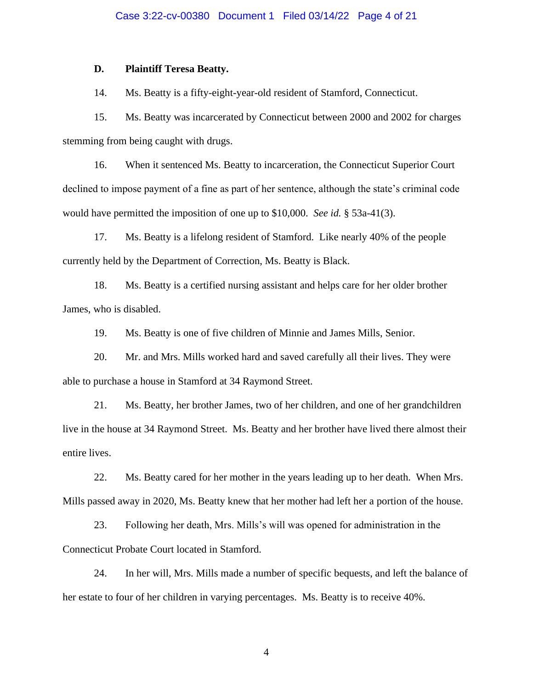#### Case 3:22-cv-00380 Document 1 Filed 03/14/22 Page 4 of 21

#### **D. Plaintiff Teresa Beatty.**

14. Ms. Beatty is a fifty-eight-year-old resident of Stamford, Connecticut.

15. Ms. Beatty was incarcerated by Connecticut between 2000 and 2002 for charges stemming from being caught with drugs.

16. When it sentenced Ms. Beatty to incarceration, the Connecticut Superior Court declined to impose payment of a fine as part of her sentence, although the state's criminal code would have permitted the imposition of one up to \$10,000. *See id.* § 53a-41(3).

17. Ms. Beatty is a lifelong resident of Stamford. Like nearly 40% of the people currently held by the Department of Correction, Ms. Beatty is Black.

18. Ms. Beatty is a certified nursing assistant and helps care for her older brother James, who is disabled.

19. Ms. Beatty is one of five children of Minnie and James Mills, Senior.

20. Mr. and Mrs. Mills worked hard and saved carefully all their lives. They were able to purchase a house in Stamford at 34 Raymond Street.

21. Ms. Beatty, her brother James, two of her children, and one of her grandchildren live in the house at 34 Raymond Street. Ms. Beatty and her brother have lived there almost their entire lives.

22. Ms. Beatty cared for her mother in the years leading up to her death. When Mrs. Mills passed away in 2020, Ms. Beatty knew that her mother had left her a portion of the house.

23. Following her death, Mrs. Mills's will was opened for administration in the Connecticut Probate Court located in Stamford.

24. In her will, Mrs. Mills made a number of specific bequests, and left the balance of her estate to four of her children in varying percentages. Ms. Beatty is to receive 40%.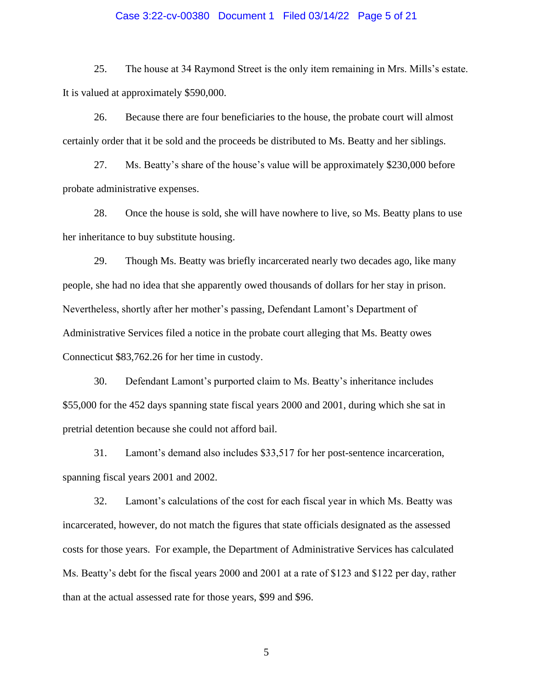#### Case 3:22-cv-00380 Document 1 Filed 03/14/22 Page 5 of 21

25. The house at 34 Raymond Street is the only item remaining in Mrs. Mills's estate. It is valued at approximately \$590,000.

26. Because there are four beneficiaries to the house, the probate court will almost certainly order that it be sold and the proceeds be distributed to Ms. Beatty and her siblings.

27. Ms. Beatty's share of the house's value will be approximately \$230,000 before probate administrative expenses.

28. Once the house is sold, she will have nowhere to live, so Ms. Beatty plans to use her inheritance to buy substitute housing.

29. Though Ms. Beatty was briefly incarcerated nearly two decades ago, like many people, she had no idea that she apparently owed thousands of dollars for her stay in prison. Nevertheless, shortly after her mother's passing, Defendant Lamont's Department of Administrative Services filed a notice in the probate court alleging that Ms. Beatty owes Connecticut \$83,762.26 for her time in custody.

30. Defendant Lamont's purported claim to Ms. Beatty's inheritance includes \$55,000 for the 452 days spanning state fiscal years 2000 and 2001, during which she sat in pretrial detention because she could not afford bail.

31. Lamont's demand also includes \$33,517 for her post-sentence incarceration, spanning fiscal years 2001 and 2002.

32. Lamont's calculations of the cost for each fiscal year in which Ms. Beatty was incarcerated, however, do not match the figures that state officials designated as the assessed costs for those years. For example, the Department of Administrative Services has calculated Ms. Beatty's debt for the fiscal years 2000 and 2001 at a rate of \$123 and \$122 per day, rather than at the actual assessed rate for those years, \$99 and \$96.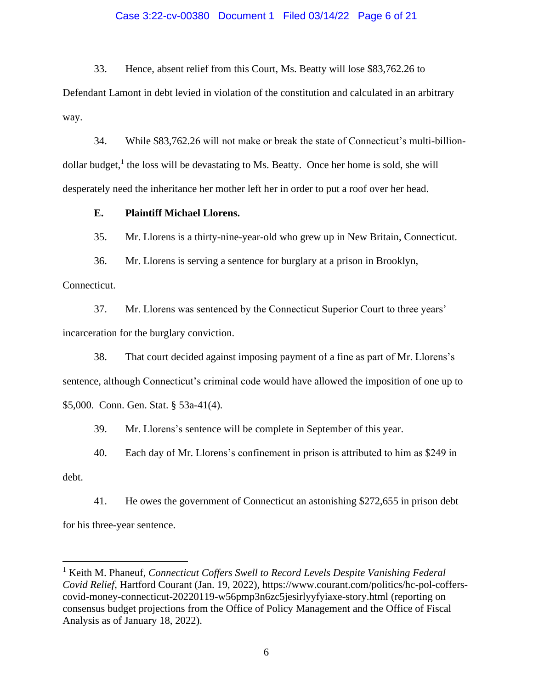## Case 3:22-cv-00380 Document 1 Filed 03/14/22 Page 6 of 21

33. Hence, absent relief from this Court, Ms. Beatty will lose \$83,762.26 to

Defendant Lamont in debt levied in violation of the constitution and calculated in an arbitrary way.

34. While \$83,762.26 will not make or break the state of Connecticut's multi-billiondollar budget,<sup>1</sup> the loss will be devastating to Ms. Beatty. Once her home is sold, she will desperately need the inheritance her mother left her in order to put a roof over her head.

**E. Plaintiff Michael Llorens.**

35. Mr. Llorens is a thirty-nine-year-old who grew up in New Britain, Connecticut.

36. Mr. Llorens is serving a sentence for burglary at a prison in Brooklyn,

Connecticut.

37. Mr. Llorens was sentenced by the Connecticut Superior Court to three years' incarceration for the burglary conviction.

38. That court decided against imposing payment of a fine as part of Mr. Llorens's sentence, although Connecticut's criminal code would have allowed the imposition of one up to \$5,000. Conn. Gen. Stat. § 53a-41(4).

39. Mr. Llorens's sentence will be complete in September of this year.

40. Each day of Mr. Llorens's confinement in prison is attributed to him as \$249 in

debt.

41. He owes the government of Connecticut an astonishing \$272,655 in prison debt for his three-year sentence.

<sup>&</sup>lt;sup>1</sup> Keith M. Phaneuf, *Connecticut Coffers Swell to Record Levels Despite Vanishing Federal Covid Relief*, Hartford Courant (Jan. 19, 2022), https://www.courant.com/politics/hc-pol-cofferscovid-money-connecticut-20220119-w56pmp3n6zc5jesirlyyfyiaxe-story.html (reporting on consensus budget projections from the Office of Policy Management and the Office of Fiscal Analysis as of January 18, 2022).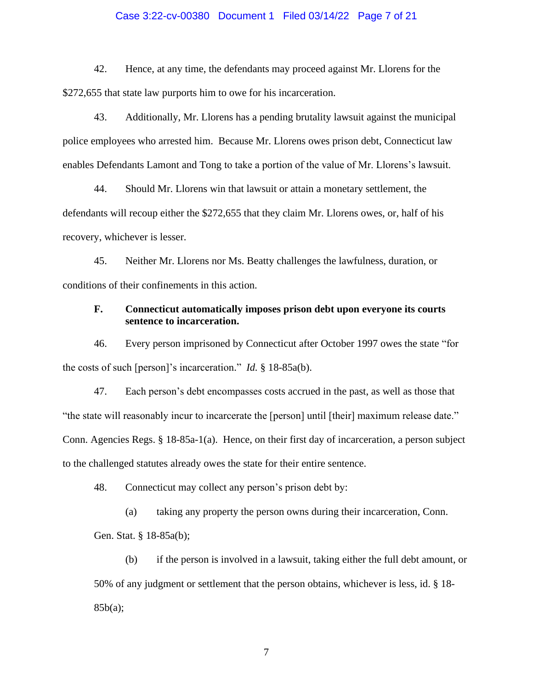## Case 3:22-cv-00380 Document 1 Filed 03/14/22 Page 7 of 21

42. Hence, at any time, the defendants may proceed against Mr. Llorens for the \$272,655 that state law purports him to owe for his incarceration.

43. Additionally, Mr. Llorens has a pending brutality lawsuit against the municipal police employees who arrested him. Because Mr. Llorens owes prison debt, Connecticut law enables Defendants Lamont and Tong to take a portion of the value of Mr. Llorens's lawsuit.

44. Should Mr. Llorens win that lawsuit or attain a monetary settlement, the defendants will recoup either the \$272,655 that they claim Mr. Llorens owes, or, half of his recovery, whichever is lesser.

45. Neither Mr. Llorens nor Ms. Beatty challenges the lawfulness, duration, or conditions of their confinements in this action.

# **F. Connecticut automatically imposes prison debt upon everyone its courts sentence to incarceration.**

46. Every person imprisoned by Connecticut after October 1997 owes the state "for the costs of such [person]'s incarceration." *Id.* § 18-85a(b).

47. Each person's debt encompasses costs accrued in the past, as well as those that "the state will reasonably incur to incarcerate the [person] until [their] maximum release date." Conn. Agencies Regs. § 18-85a-1(a). Hence, on their first day of incarceration, a person subject to the challenged statutes already owes the state for their entire sentence.

48. Connecticut may collect any person's prison debt by:

(a) taking any property the person owns during their incarceration, Conn.

Gen. Stat. § 18-85a(b);

(b) if the person is involved in a lawsuit, taking either the full debt amount, or 50% of any judgment or settlement that the person obtains, whichever is less, id. § 18-  $85b(a);$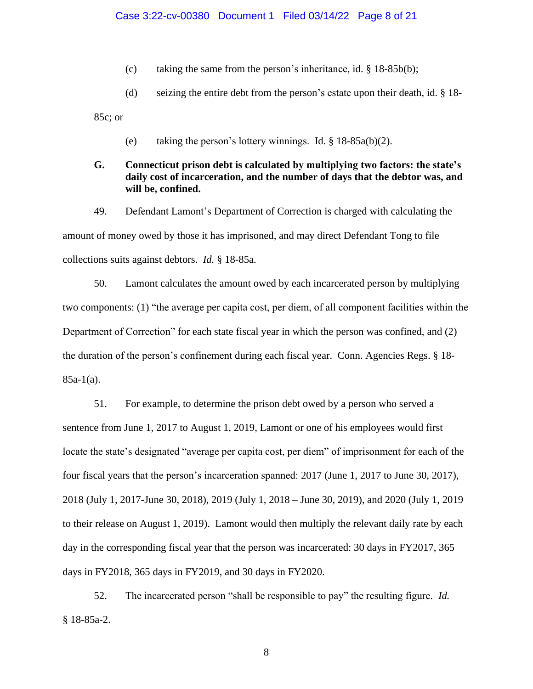(c) taking the same from the person's inheritance, id. § 18-85b(b);

(d) seizing the entire debt from the person's estate upon their death, id. § 18-

85c; or

(e) taking the person's lottery winnings. Id.  $\S$  18-85a(b)(2).

# **G. Connecticut prison debt is calculated by multiplying two factors: the state's daily cost of incarceration, and the number of days that the debtor was, and will be, confined.**

49. Defendant Lamont's Department of Correction is charged with calculating the amount of money owed by those it has imprisoned, and may direct Defendant Tong to file collections suits against debtors. *Id.* § 18-85a.

50. Lamont calculates the amount owed by each incarcerated person by multiplying two components: (1) "the average per capita cost, per diem, of all component facilities within the Department of Correction" for each state fiscal year in which the person was confined, and (2) the duration of the person's confinement during each fiscal year. Conn. Agencies Regs. § 18-  $85a-1(a)$ .

51. For example, to determine the prison debt owed by a person who served a sentence from June 1, 2017 to August 1, 2019, Lamont or one of his employees would first locate the state's designated "average per capita cost, per diem" of imprisonment for each of the four fiscal years that the person's incarceration spanned: 2017 (June 1, 2017 to June 30, 2017), 2018 (July 1, 2017-June 30, 2018), 2019 (July 1, 2018 – June 30, 2019), and 2020 (July 1, 2019 to their release on August 1, 2019). Lamont would then multiply the relevant daily rate by each day in the corresponding fiscal year that the person was incarcerated: 30 days in FY2017, 365 days in FY2018, 365 days in FY2019, and 30 days in FY2020.

52. The incarcerated person "shall be responsible to pay" the resulting figure. *Id.* § 18-85a-2.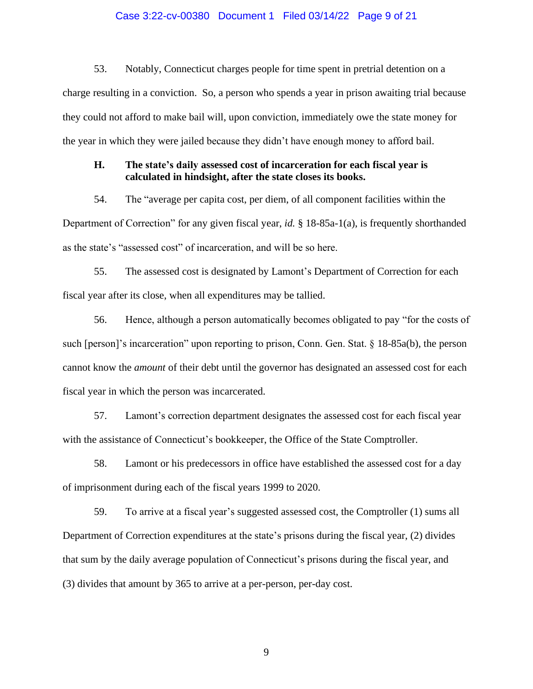#### Case 3:22-cv-00380 Document 1 Filed 03/14/22 Page 9 of 21

53. Notably, Connecticut charges people for time spent in pretrial detention on a charge resulting in a conviction. So, a person who spends a year in prison awaiting trial because they could not afford to make bail will, upon conviction, immediately owe the state money for the year in which they were jailed because they didn't have enough money to afford bail.

# **H. The state's daily assessed cost of incarceration for each fiscal year is calculated in hindsight, after the state closes its books.**

54. The "average per capita cost, per diem, of all component facilities within the Department of Correction" for any given fiscal year, *id.* § 18-85a-1(a), is frequently shorthanded as the state's "assessed cost" of incarceration, and will be so here.

55. The assessed cost is designated by Lamont's Department of Correction for each fiscal year after its close, when all expenditures may be tallied.

56. Hence, although a person automatically becomes obligated to pay "for the costs of such [person]'s incarceration" upon reporting to prison, Conn. Gen. Stat. § 18-85a(b), the person cannot know the *amount* of their debt until the governor has designated an assessed cost for each fiscal year in which the person was incarcerated.

57. Lamont's correction department designates the assessed cost for each fiscal year with the assistance of Connecticut's bookkeeper, the Office of the State Comptroller.

58. Lamont or his predecessors in office have established the assessed cost for a day of imprisonment during each of the fiscal years 1999 to 2020.

59. To arrive at a fiscal year's suggested assessed cost, the Comptroller (1) sums all Department of Correction expenditures at the state's prisons during the fiscal year, (2) divides that sum by the daily average population of Connecticut's prisons during the fiscal year, and (3) divides that amount by 365 to arrive at a per-person, per-day cost.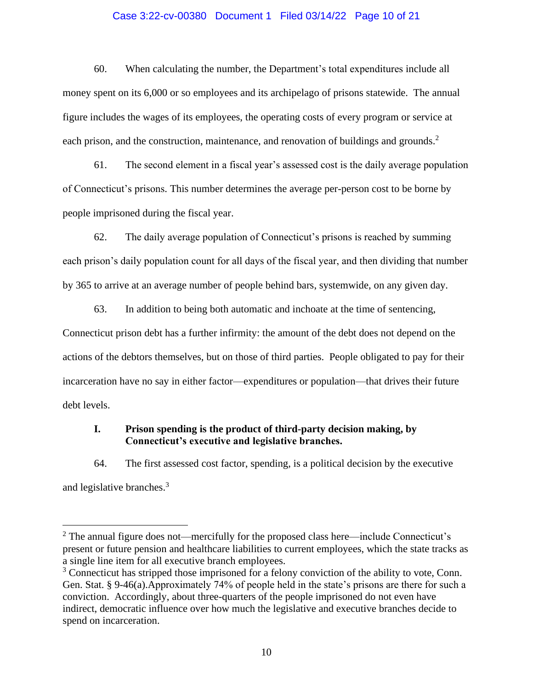## Case 3:22-cv-00380 Document 1 Filed 03/14/22 Page 10 of 21

60. When calculating the number, the Department's total expenditures include all money spent on its 6,000 or so employees and its archipelago of prisons statewide. The annual figure includes the wages of its employees, the operating costs of every program or service at each prison, and the construction, maintenance, and renovation of buildings and grounds.<sup>2</sup>

61. The second element in a fiscal year's assessed cost is the daily average population of Connecticut's prisons. This number determines the average per-person cost to be borne by people imprisoned during the fiscal year.

62. The daily average population of Connecticut's prisons is reached by summing each prison's daily population count for all days of the fiscal year, and then dividing that number by 365 to arrive at an average number of people behind bars, systemwide, on any given day.

63. In addition to being both automatic and inchoate at the time of sentencing, Connecticut prison debt has a further infirmity: the amount of the debt does not depend on the actions of the debtors themselves, but on those of third parties. People obligated to pay for their incarceration have no say in either factor—expenditures or population—that drives their future debt levels.

# **I. Prison spending is the product of third-party decision making, by Connecticut's executive and legislative branches.**

64. The first assessed cost factor, spending, is a political decision by the executive and legislative branches.<sup>3</sup>

 $2$  The annual figure does not—mercifully for the proposed class here—include Connecticut's present or future pension and healthcare liabilities to current employees, which the state tracks as a single line item for all executive branch employees.

<sup>&</sup>lt;sup>3</sup> Connecticut has stripped those imprisoned for a felony conviction of the ability to vote, Conn. Gen. Stat. § 9-46(a).Approximately 74% of people held in the state's prisons are there for such a conviction. Accordingly, about three-quarters of the people imprisoned do not even have indirect, democratic influence over how much the legislative and executive branches decide to spend on incarceration.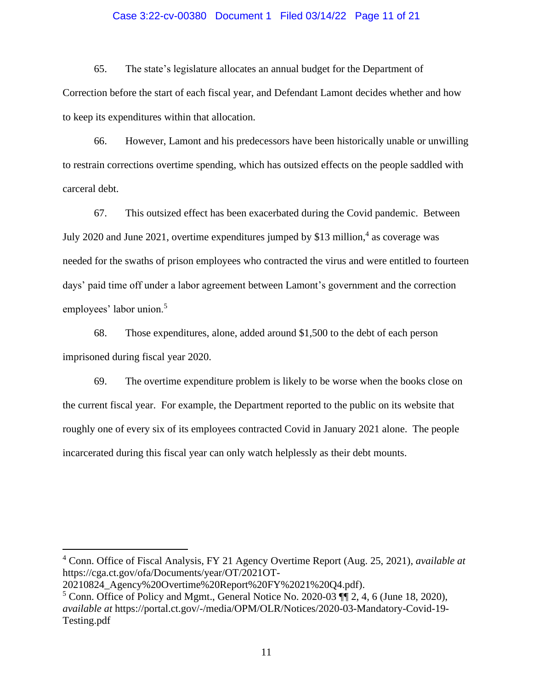## Case 3:22-cv-00380 Document 1 Filed 03/14/22 Page 11 of 21

65. The state's legislature allocates an annual budget for the Department of Correction before the start of each fiscal year, and Defendant Lamont decides whether and how to keep its expenditures within that allocation.

66. However, Lamont and his predecessors have been historically unable or unwilling to restrain corrections overtime spending, which has outsized effects on the people saddled with carceral debt.

67. This outsized effect has been exacerbated during the Covid pandemic. Between July 2020 and June 2021, overtime expenditures jumped by \$13 million,<sup>4</sup> as coverage was needed for the swaths of prison employees who contracted the virus and were entitled to fourteen days' paid time off under a labor agreement between Lamont's government and the correction employees' labor union.<sup>5</sup>

68. Those expenditures, alone, added around \$1,500 to the debt of each person imprisoned during fiscal year 2020.

69. The overtime expenditure problem is likely to be worse when the books close on the current fiscal year. For example, the Department reported to the public on its website that roughly one of every six of its employees contracted Covid in January 2021 alone. The people incarcerated during this fiscal year can only watch helplessly as their debt mounts.

<sup>4</sup> Conn. Office of Fiscal Analysis, FY 21 Agency Overtime Report (Aug. 25, 2021), *available at* https://cga.ct.gov/ofa/Documents/year/OT/2021OT-

<sup>20210824</sup>\_Agency%20Overtime%20Report%20FY%2021%20Q4.pdf).

 $5$  Conn. Office of Policy and Mgmt., General Notice No. 2020-03  $\P$  $\uparrow$  2, 4, 6 (June 18, 2020), *available at* https://portal.ct.gov/-/media/OPM/OLR/Notices/2020-03-Mandatory-Covid-19- Testing.pdf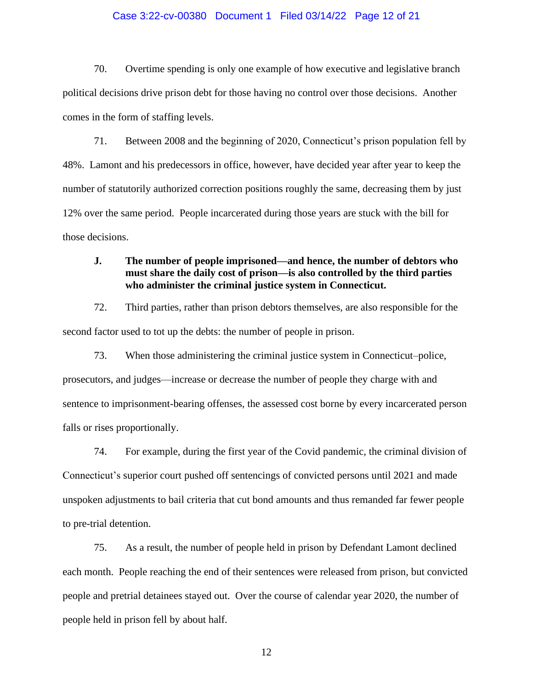## Case 3:22-cv-00380 Document 1 Filed 03/14/22 Page 12 of 21

70. Overtime spending is only one example of how executive and legislative branch political decisions drive prison debt for those having no control over those decisions. Another comes in the form of staffing levels.

71. Between 2008 and the beginning of 2020, Connecticut's prison population fell by 48%. Lamont and his predecessors in office, however, have decided year after year to keep the number of statutorily authorized correction positions roughly the same, decreasing them by just 12% over the same period. People incarcerated during those years are stuck with the bill for those decisions.

# **J. The number of people imprisoned—and hence, the number of debtors who must share the daily cost of prison—is also controlled by the third parties who administer the criminal justice system in Connecticut.**

72. Third parties, rather than prison debtors themselves, are also responsible for the second factor used to tot up the debts: the number of people in prison.

73. When those administering the criminal justice system in Connecticut–police, prosecutors, and judges—increase or decrease the number of people they charge with and sentence to imprisonment-bearing offenses, the assessed cost borne by every incarcerated person falls or rises proportionally.

74. For example, during the first year of the Covid pandemic, the criminal division of Connecticut's superior court pushed off sentencings of convicted persons until 2021 and made unspoken adjustments to bail criteria that cut bond amounts and thus remanded far fewer people to pre-trial detention.

75. As a result, the number of people held in prison by Defendant Lamont declined each month. People reaching the end of their sentences were released from prison, but convicted people and pretrial detainees stayed out. Over the course of calendar year 2020, the number of people held in prison fell by about half.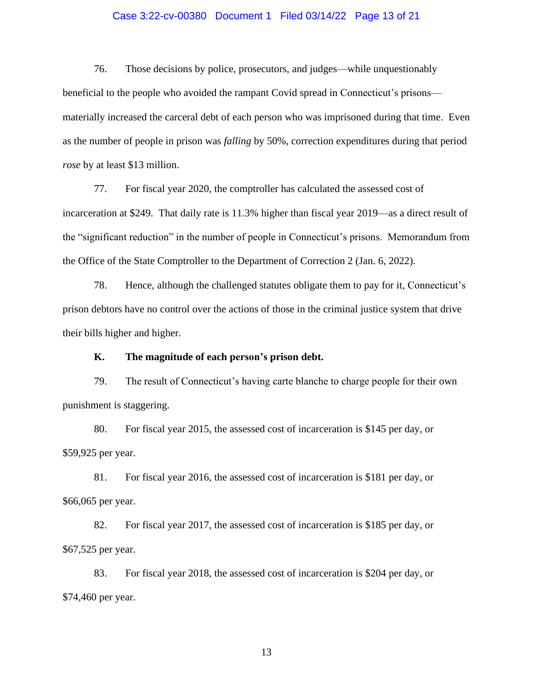## Case 3:22-cv-00380 Document 1 Filed 03/14/22 Page 13 of 21

76. Those decisions by police, prosecutors, and judges—while unquestionably beneficial to the people who avoided the rampant Covid spread in Connecticut's prisons materially increased the carceral debt of each person who was imprisoned during that time. Even as the number of people in prison was *falling* by 50%, correction expenditures during that period *rose* by at least \$13 million.

77. For fiscal year 2020, the comptroller has calculated the assessed cost of incarceration at \$249. That daily rate is 11.3% higher than fiscal year 2019—as a direct result of the "significant reduction" in the number of people in Connecticut's prisons. Memorandum from the Office of the State Comptroller to the Department of Correction 2 (Jan. 6, 2022).

78. Hence, although the challenged statutes obligate them to pay for it, Connecticut's prison debtors have no control over the actions of those in the criminal justice system that drive their bills higher and higher.

# **K. The magnitude of each person's prison debt.**

79. The result of Connecticut's having carte blanche to charge people for their own punishment is staggering.

80. For fiscal year 2015, the assessed cost of incarceration is \$145 per day, or \$59,925 per year.

81. For fiscal year 2016, the assessed cost of incarceration is \$181 per day, or \$66,065 per year.

82. For fiscal year 2017, the assessed cost of incarceration is \$185 per day, or \$67,525 per year.

83. For fiscal year 2018, the assessed cost of incarceration is \$204 per day, or \$74,460 per year.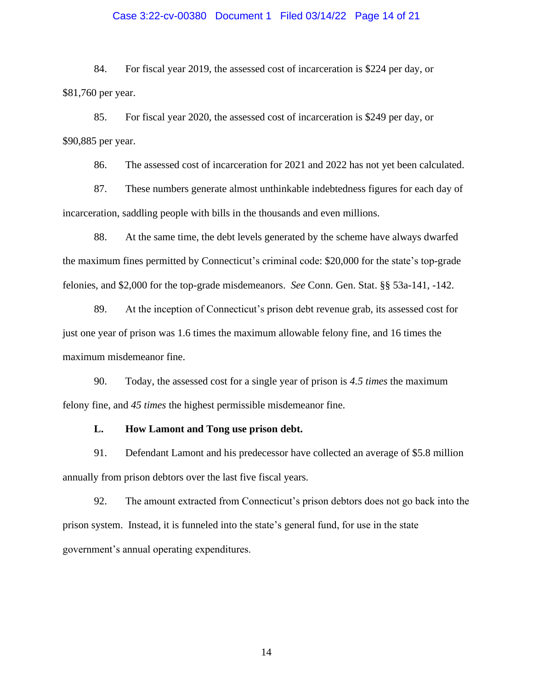## Case 3:22-cv-00380 Document 1 Filed 03/14/22 Page 14 of 21

84. For fiscal year 2019, the assessed cost of incarceration is \$224 per day, or \$81,760 per year.

85. For fiscal year 2020, the assessed cost of incarceration is \$249 per day, or \$90,885 per year.

86. The assessed cost of incarceration for 2021 and 2022 has not yet been calculated.

87. These numbers generate almost unthinkable indebtedness figures for each day of incarceration, saddling people with bills in the thousands and even millions.

88. At the same time, the debt levels generated by the scheme have always dwarfed the maximum fines permitted by Connecticut's criminal code: \$20,000 for the state's top-grade felonies, and \$2,000 for the top-grade misdemeanors. *See* Conn. Gen. Stat. §§ 53a-141, -142.

89. At the inception of Connecticut's prison debt revenue grab, its assessed cost for just one year of prison was 1.6 times the maximum allowable felony fine, and 16 times the maximum misdemeanor fine.

90. Today, the assessed cost for a single year of prison is *4.5 times* the maximum felony fine, and *45 times* the highest permissible misdemeanor fine.

#### **L. How Lamont and Tong use prison debt.**

91. Defendant Lamont and his predecessor have collected an average of \$5.8 million annually from prison debtors over the last five fiscal years.

92. The amount extracted from Connecticut's prison debtors does not go back into the prison system. Instead, it is funneled into the state's general fund, for use in the state government's annual operating expenditures.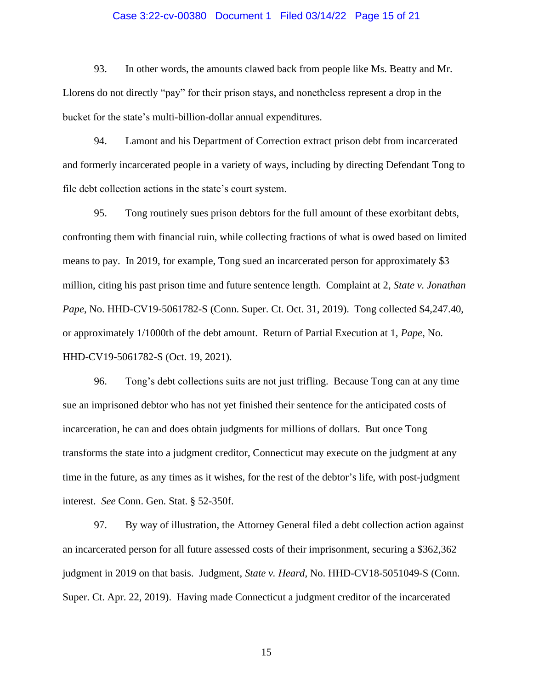## Case 3:22-cv-00380 Document 1 Filed 03/14/22 Page 15 of 21

93. In other words, the amounts clawed back from people like Ms. Beatty and Mr. Llorens do not directly "pay" for their prison stays, and nonetheless represent a drop in the bucket for the state's multi-billion-dollar annual expenditures.

94. Lamont and his Department of Correction extract prison debt from incarcerated and formerly incarcerated people in a variety of ways, including by directing Defendant Tong to file debt collection actions in the state's court system.

95. Tong routinely sues prison debtors for the full amount of these exorbitant debts, confronting them with financial ruin, while collecting fractions of what is owed based on limited means to pay. In 2019, for example, Tong sued an incarcerated person for approximately \$3 million, citing his past prison time and future sentence length. Complaint at 2, *State v. Jonathan Pape*, No. HHD-CV19-5061782-S (Conn. Super. Ct. Oct. 31, 2019). Tong collected \$4,247.40, or approximately 1/1000th of the debt amount. Return of Partial Execution at 1, *Pape*, No. HHD-CV19-5061782-S (Oct. 19, 2021).

96. Tong's debt collections suits are not just trifling. Because Tong can at any time sue an imprisoned debtor who has not yet finished their sentence for the anticipated costs of incarceration, he can and does obtain judgments for millions of dollars. But once Tong transforms the state into a judgment creditor, Connecticut may execute on the judgment at any time in the future, as any times as it wishes, for the rest of the debtor's life, with post-judgment interest. *See* Conn. Gen. Stat. § 52-350f.

97. By way of illustration, the Attorney General filed a debt collection action against an incarcerated person for all future assessed costs of their imprisonment, securing a \$362,362 judgment in 2019 on that basis. Judgment, *State v. Heard*, No. HHD-CV18-5051049-S (Conn. Super. Ct. Apr. 22, 2019). Having made Connecticut a judgment creditor of the incarcerated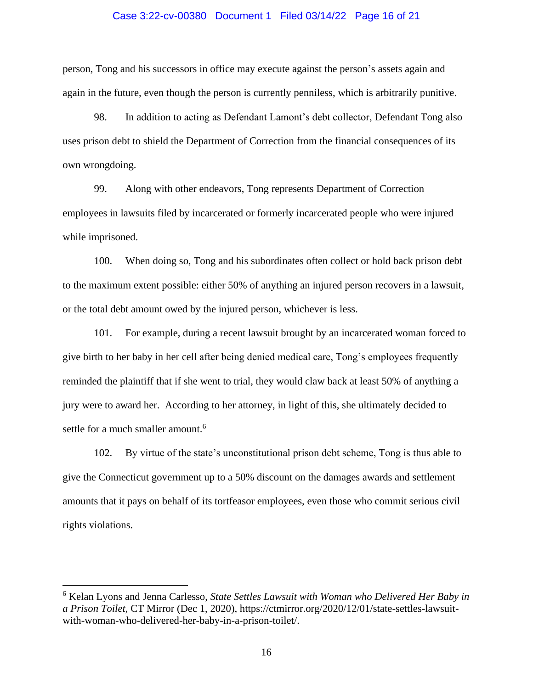#### Case 3:22-cv-00380 Document 1 Filed 03/14/22 Page 16 of 21

person, Tong and his successors in office may execute against the person's assets again and again in the future, even though the person is currently penniless, which is arbitrarily punitive.

98. In addition to acting as Defendant Lamont's debt collector, Defendant Tong also uses prison debt to shield the Department of Correction from the financial consequences of its own wrongdoing.

99. Along with other endeavors, Tong represents Department of Correction employees in lawsuits filed by incarcerated or formerly incarcerated people who were injured while imprisoned.

100. When doing so, Tong and his subordinates often collect or hold back prison debt to the maximum extent possible: either 50% of anything an injured person recovers in a lawsuit, or the total debt amount owed by the injured person, whichever is less.

101. For example, during a recent lawsuit brought by an incarcerated woman forced to give birth to her baby in her cell after being denied medical care, Tong's employees frequently reminded the plaintiff that if she went to trial, they would claw back at least 50% of anything a jury were to award her. According to her attorney, in light of this, she ultimately decided to settle for a much smaller amount.<sup>6</sup>

102. By virtue of the state's unconstitutional prison debt scheme, Tong is thus able to give the Connecticut government up to a 50% discount on the damages awards and settlement amounts that it pays on behalf of its tortfeasor employees, even those who commit serious civil rights violations.

<sup>6</sup> Kelan Lyons and Jenna Carlesso, *State Settles Lawsuit with Woman who Delivered Her Baby in a Prison Toilet*, CT Mirror (Dec 1, 2020), https://ctmirror.org/2020/12/01/state-settles-lawsuitwith-woman-who-delivered-her-baby-in-a-prison-toilet/.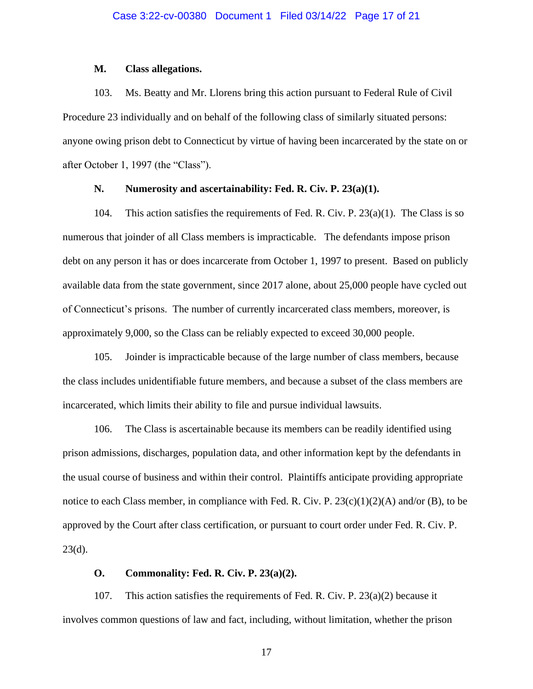#### **M. Class allegations.**

103. Ms. Beatty and Mr. Llorens bring this action pursuant to Federal Rule of Civil Procedure 23 individually and on behalf of the following class of similarly situated persons: anyone owing prison debt to Connecticut by virtue of having been incarcerated by the state on or after October 1, 1997 (the "Class").

# **N. Numerosity and ascertainability: Fed. R. Civ. P. 23(a)(1).**

104. This action satisfies the requirements of Fed. R. Civ. P. 23(a)(1). The Class is so numerous that joinder of all Class members is impracticable. The defendants impose prison debt on any person it has or does incarcerate from October 1, 1997 to present. Based on publicly available data from the state government, since 2017 alone, about 25,000 people have cycled out of Connecticut's prisons. The number of currently incarcerated class members, moreover, is approximately 9,000, so the Class can be reliably expected to exceed 30,000 people.

105. Joinder is impracticable because of the large number of class members, because the class includes unidentifiable future members, and because a subset of the class members are incarcerated, which limits their ability to file and pursue individual lawsuits.

106. The Class is ascertainable because its members can be readily identified using prison admissions, discharges, population data, and other information kept by the defendants in the usual course of business and within their control. Plaintiffs anticipate providing appropriate notice to each Class member, in compliance with Fed. R. Civ. P.  $23(c)(1)(2)(A)$  and/or (B), to be approved by the Court after class certification, or pursuant to court order under Fed. R. Civ. P.  $23(d)$ .

## **O. Commonality: Fed. R. Civ. P. 23(a)(2).**

107. This action satisfies the requirements of Fed. R. Civ. P. 23(a)(2) because it involves common questions of law and fact, including, without limitation, whether the prison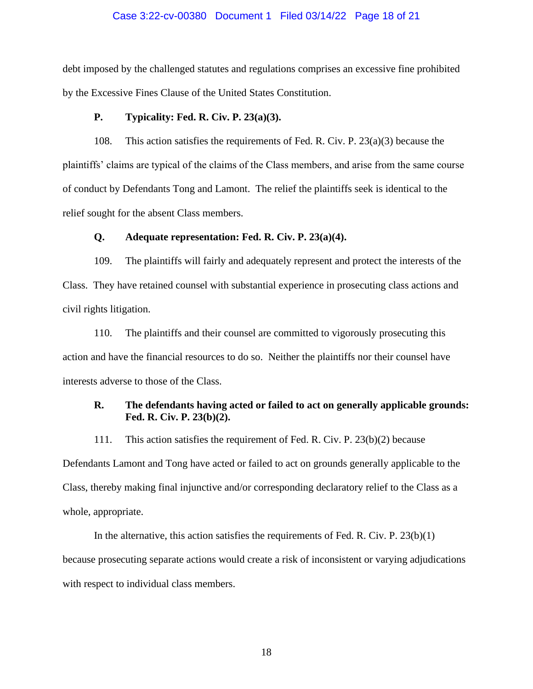#### Case 3:22-cv-00380 Document 1 Filed 03/14/22 Page 18 of 21

debt imposed by the challenged statutes and regulations comprises an excessive fine prohibited by the Excessive Fines Clause of the United States Constitution.

# **P. Typicality: Fed. R. Civ. P. 23(a)(3).**

108. This action satisfies the requirements of Fed. R. Civ. P. 23(a)(3) because the plaintiffs' claims are typical of the claims of the Class members, and arise from the same course of conduct by Defendants Tong and Lamont. The relief the plaintiffs seek is identical to the relief sought for the absent Class members.

#### **Q. Adequate representation: Fed. R. Civ. P. 23(a)(4).**

109. The plaintiffs will fairly and adequately represent and protect the interests of the Class. They have retained counsel with substantial experience in prosecuting class actions and civil rights litigation.

110. The plaintiffs and their counsel are committed to vigorously prosecuting this action and have the financial resources to do so. Neither the plaintiffs nor their counsel have interests adverse to those of the Class.

# **R. The defendants having acted or failed to act on generally applicable grounds: Fed. R. Civ. P. 23(b)(2).**

111. This action satisfies the requirement of Fed. R. Civ. P. 23(b)(2) because Defendants Lamont and Tong have acted or failed to act on grounds generally applicable to the Class, thereby making final injunctive and/or corresponding declaratory relief to the Class as a whole, appropriate.

In the alternative, this action satisfies the requirements of Fed. R. Civ. P.  $23(b)(1)$ because prosecuting separate actions would create a risk of inconsistent or varying adjudications with respect to individual class members.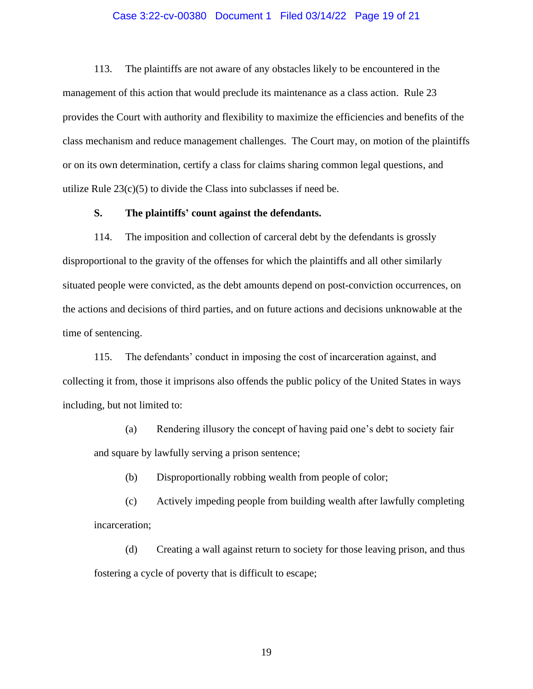#### Case 3:22-cv-00380 Document 1 Filed 03/14/22 Page 19 of 21

113. The plaintiffs are not aware of any obstacles likely to be encountered in the management of this action that would preclude its maintenance as a class action. Rule 23 provides the Court with authority and flexibility to maximize the efficiencies and benefits of the class mechanism and reduce management challenges. The Court may, on motion of the plaintiffs or on its own determination, certify a class for claims sharing common legal questions, and utilize Rule  $23(c)(5)$  to divide the Class into subclasses if need be.

# **S. The plaintiffs' count against the defendants.**

114. The imposition and collection of carceral debt by the defendants is grossly disproportional to the gravity of the offenses for which the plaintiffs and all other similarly situated people were convicted, as the debt amounts depend on post-conviction occurrences, on the actions and decisions of third parties, and on future actions and decisions unknowable at the time of sentencing.

115. The defendants' conduct in imposing the cost of incarceration against, and collecting it from, those it imprisons also offends the public policy of the United States in ways including, but not limited to:

(a) Rendering illusory the concept of having paid one's debt to society fair and square by lawfully serving a prison sentence;

(b) Disproportionally robbing wealth from people of color;

(c) Actively impeding people from building wealth after lawfully completing incarceration;

(d) Creating a wall against return to society for those leaving prison, and thus fostering a cycle of poverty that is difficult to escape;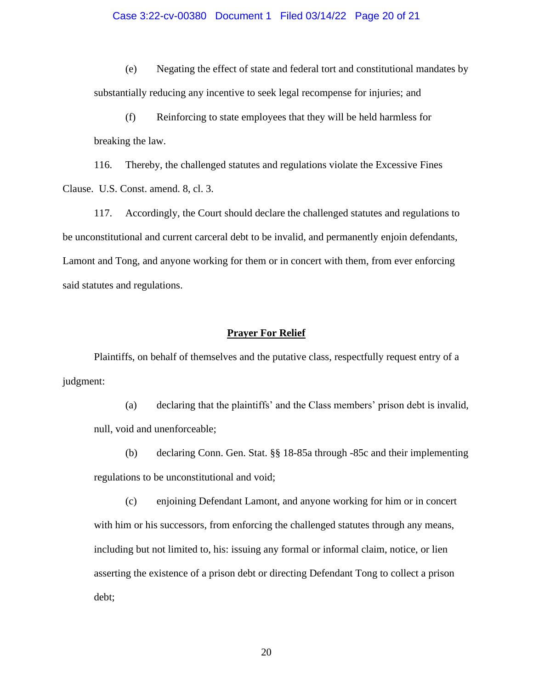#### Case 3:22-cv-00380 Document 1 Filed 03/14/22 Page 20 of 21

(e) Negating the effect of state and federal tort and constitutional mandates by substantially reducing any incentive to seek legal recompense for injuries; and

(f) Reinforcing to state employees that they will be held harmless for breaking the law.

116. Thereby, the challenged statutes and regulations violate the Excessive Fines Clause. U.S. Const. amend. 8, cl. 3.

117. Accordingly, the Court should declare the challenged statutes and regulations to be unconstitutional and current carceral debt to be invalid, and permanently enjoin defendants, Lamont and Tong, and anyone working for them or in concert with them, from ever enforcing said statutes and regulations.

#### **Prayer For Relief**

Plaintiffs, on behalf of themselves and the putative class, respectfully request entry of a judgment:

(a) declaring that the plaintiffs' and the Class members' prison debt is invalid, null, void and unenforceable;

(b) declaring Conn. Gen. Stat. §§ 18-85a through -85c and their implementing regulations to be unconstitutional and void;

(c) enjoining Defendant Lamont, and anyone working for him or in concert with him or his successors, from enforcing the challenged statutes through any means, including but not limited to, his: issuing any formal or informal claim, notice, or lien asserting the existence of a prison debt or directing Defendant Tong to collect a prison debt;